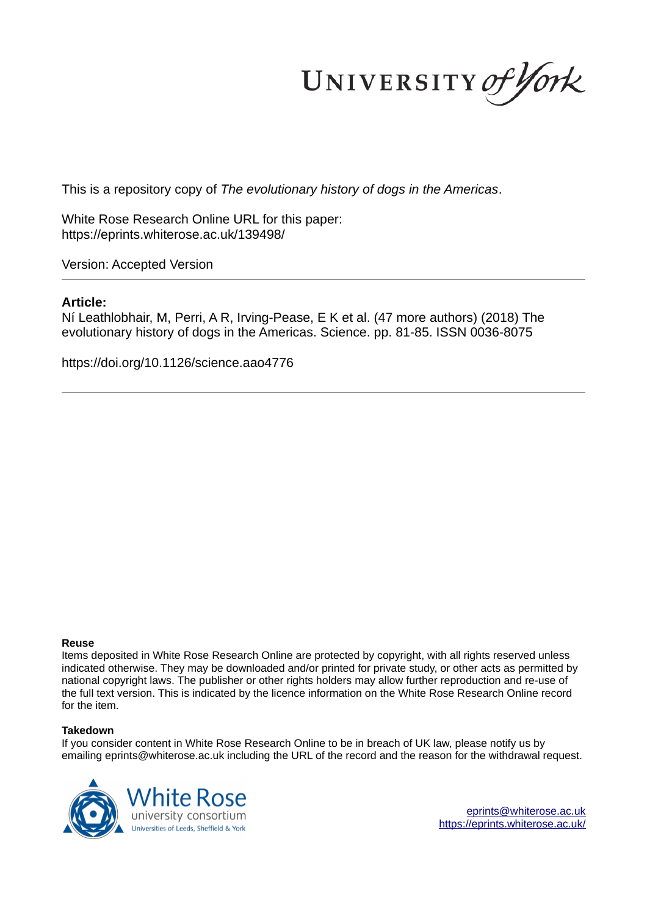UNIVERSITY of York

This is a repository copy of *The evolutionary history of dogs in the Americas*.

White Rose Research Online URL for this paper: https://eprints.whiterose.ac.uk/139498/

Version: Accepted Version

### **Article:**

Ní Leathlobhair, M, Perri, A R, Irving-Pease, E K et al. (47 more authors) (2018) The evolutionary history of dogs in the Americas. Science. pp. 81-85. ISSN 0036-8075

https://doi.org/10.1126/science.aao4776

#### **Reuse**

Items deposited in White Rose Research Online are protected by copyright, with all rights reserved unless indicated otherwise. They may be downloaded and/or printed for private study, or other acts as permitted by national copyright laws. The publisher or other rights holders may allow further reproduction and re-use of the full text version. This is indicated by the licence information on the White Rose Research Online record for the item.

#### **Takedown**

If you consider content in White Rose Research Online to be in breach of UK law, please notify us by emailing eprints@whiterose.ac.uk including the URL of the record and the reason for the withdrawal request.



eprints@whiterose.ac.uk https://eprints.whiterose.ac.uk/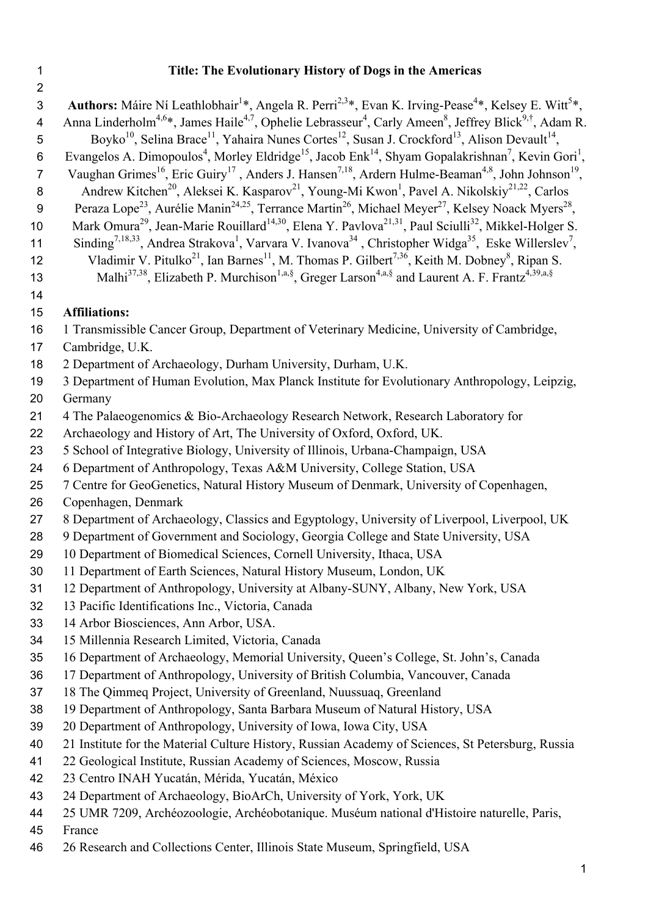# 1 **Title: The Evolutionary History of Dogs in the Americas**

| $\overline{2}$  |                                                                                                                                                                    |
|-----------------|--------------------------------------------------------------------------------------------------------------------------------------------------------------------|
| 3               | Authors: Máire Ní Leathlobhair <sup>1</sup> *, Angela R. Perri <sup>2,3*</sup> , Evan K. Irving-Pease <sup>4*</sup> , Kelsey E. Witt <sup>5*</sup> ,               |
| 4               | Anna Linderholm <sup>4,6*</sup> , James Haile <sup>4,7</sup> , Ophelie Lebrasseur <sup>4</sup> , Carly Ameen <sup>8</sup> , Jeffrey Blick <sup>9,†</sup> , Adam R. |
| 5               | Boyko <sup>10</sup> , Selina Brace <sup>11</sup> , Yahaira Nunes Cortes <sup>12</sup> , Susan J. Crockford <sup>13</sup> , Alison Devault <sup>14</sup> ,          |
| 6               | Evangelos A. Dimopoulos <sup>4</sup> , Morley Eldridge <sup>15</sup> , Jacob Enk <sup>14</sup> , Shyam Gopalakrishnan <sup>7</sup> , Kevin Gori <sup>1</sup> ,     |
| $\overline{7}$  | Vaughan Grimes <sup>16</sup> , Eric Guiry <sup>17</sup> , Anders J. Hansen <sup>7,18</sup> , Ardern Hulme-Beaman <sup>4,8</sup> , John Johnson <sup>19</sup> ,     |
| 8               | Andrew Kitchen <sup>20</sup> , Aleksei K. Kasparov <sup>21</sup> , Young-Mi Kwon <sup>1</sup> , Pavel A. Nikolskiy <sup>21,22</sup> , Carlos                       |
| 9               | Peraza Lope <sup>23</sup> , Aurélie Manin <sup>24,25</sup> , Terrance Martin <sup>26</sup> , Michael Meyer <sup>27</sup> , Kelsey Noack Myers <sup>28</sup> ,      |
| 10              | Mark Omura <sup>29</sup> , Jean-Marie Rouillard <sup>14,30</sup> , Elena Y. Pavlova <sup>21,31</sup> , Paul Sciulli <sup>32</sup> , Mikkel-Holger S.               |
| 11              | Sinding <sup>7,18,33</sup> , Andrea Strakova <sup>1</sup> , Varvara V. Ivanova <sup>34</sup> , Christopher Widga <sup>35</sup> , Eske Willerslev <sup>7</sup> ,    |
| 12              | Vladimir V. Pitulko <sup>21</sup> , Ian Barnes <sup>11</sup> , M. Thomas P. Gilbert <sup>7,36</sup> , Keith M. Dobney <sup>8</sup> , Ripan S.                      |
| 13              | Malhi <sup>37,38</sup> , Elizabeth P. Murchison <sup>1,a,§</sup> , Greger Larson <sup>4,a,§</sup> and Laurent A. F. Frantz <sup>4,39,a,§</sup>                     |
| 14              |                                                                                                                                                                    |
| 15              | <b>Affiliations:</b>                                                                                                                                               |
| 16              | 1 Transmissible Cancer Group, Department of Veterinary Medicine, University of Cambridge,                                                                          |
| 17              | Cambridge, U.K.                                                                                                                                                    |
| 18              | 2 Department of Archaeology, Durham University, Durham, U.K.                                                                                                       |
| 19              | 3 Department of Human Evolution, Max Planck Institute for Evolutionary Anthropology, Leipzig,                                                                      |
| 20              | Germany                                                                                                                                                            |
| 21              | 4 The Palaeogenomics & Bio-Archaeology Research Network, Research Laboratory for                                                                                   |
| 22              | Archaeology and History of Art, The University of Oxford, Oxford, UK.                                                                                              |
| 23              | 5 School of Integrative Biology, University of Illinois, Urbana-Champaign, USA                                                                                     |
| 24<br>25        | 6 Department of Anthropology, Texas A&M University, College Station, USA<br>7 Centre for GeoGenetics, Natural History Museum of Denmark, University of Copenhagen, |
| 26              | Copenhagen, Denmark                                                                                                                                                |
| 27              | 8 Department of Archaeology, Classics and Egyptology, University of Liverpool, Liverpool, UK                                                                       |
| 28              | 9 Department of Government and Sociology, Georgia College and State University, USA                                                                                |
| 29              | 10 Department of Biomedical Sciences, Cornell University, Ithaca, USA                                                                                              |
| 30              | 11 Department of Earth Sciences, Natural History Museum, London, UK                                                                                                |
| 31              | 12 Department of Anthropology, University at Albany-SUNY, Albany, New York, USA                                                                                    |
| 32              | 13 Pacific Identifications Inc., Victoria, Canada                                                                                                                  |
| 33              | 14 Arbor Biosciences, Ann Arbor, USA.                                                                                                                              |
| 34              | 15 Millennia Research Limited, Victoria, Canada                                                                                                                    |
| 35              | 16 Department of Archaeology, Memorial University, Queen's College, St. John's, Canada                                                                             |
| 36              | 17 Department of Anthropology, University of British Columbia, Vancouver, Canada                                                                                   |
| 37              | 18 The Qimmeq Project, University of Greenland, Nuussuaq, Greenland                                                                                                |
| 38              | 19 Department of Anthropology, Santa Barbara Museum of Natural History, USA                                                                                        |
| 39              | 20 Department of Anthropology, University of Iowa, Iowa City, USA                                                                                                  |
| 40              | 21 Institute for the Material Culture History, Russian Academy of Sciences, St Petersburg, Russia                                                                  |
| 41              | 22 Geological Institute, Russian Academy of Sciences, Moscow, Russia                                                                                               |
| 42              | 23 Centro INAH Yucatán, Mérida, Yucatán, México                                                                                                                    |
| 43              | 24 Department of Archaeology, BioArCh, University of York, York, UK                                                                                                |
| 44              | 25 UMR 7209, Archéozoologie, Archéobotanique. Muséum national d'Histoire naturelle, Paris,                                                                         |
| $\overline{AB}$ |                                                                                                                                                                    |

- 45 France
- 46 26 Research and Collections Center, Illinois State Museum, Springfield, USA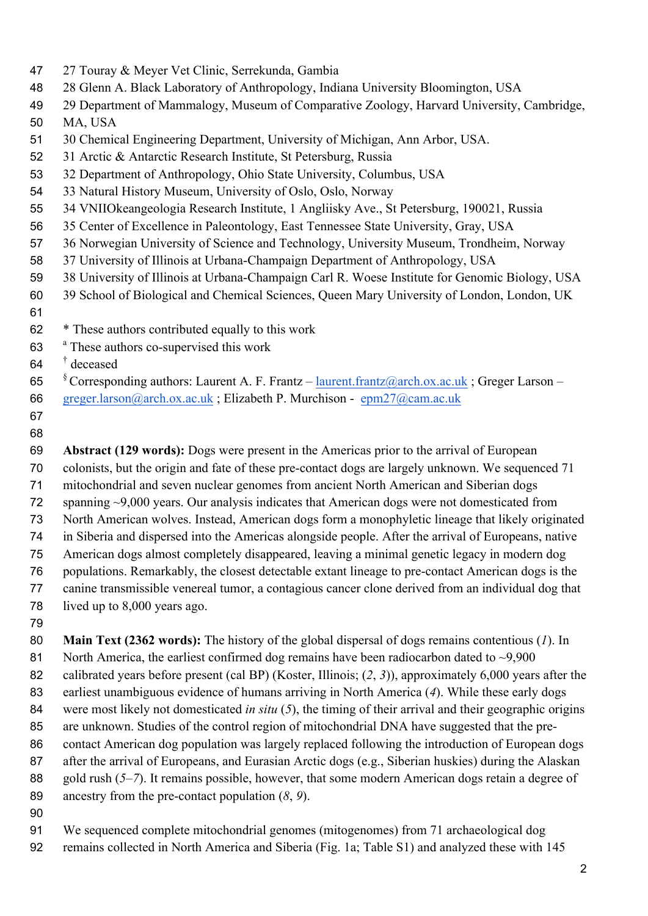- 27 Touray & Meyer Vet Clinic, Serrekunda, Gambia
- 28 Glenn A. Black Laboratory of Anthropology, Indiana University Bloomington, USA
- 29 Department of Mammalogy, Museum of Comparative Zoology, Harvard University, Cambridge,
- MA, USA
- 30 Chemical Engineering Department, University of Michigan, Ann Arbor, USA.
- 31 Arctic & Antarctic Research Institute, St Petersburg, Russia
- 32 Department of Anthropology, Ohio State University, Columbus, USA
- 33 Natural History Museum, University of Oslo, Oslo, Norway
- 34 VNIIOkeangeologia Research Institute, 1 Angliisky Ave., St Petersburg, 190021, Russia
- 35 Center of Excellence in Paleontology, East Tennessee State University, Gray, USA
- 36 Norwegian University of Science and Technology, University Museum, Trondheim, Norway
- 37 University of Illinois at Urbana-Champaign Department of Anthropology, USA
- 38 University of Illinois at Urbana-Champaign Carl R. Woese Institute for Genomic Biology, USA
- 39 School of Biological and Chemical Sciences, Queen Mary University of London, London, UK
- 
- \* These authors contributed equally to this work
- 63 <sup>a</sup> These authors co-supervised this work
- † deceased
- 65 S Corresponding authors: Laurent A. F. Frantz laurent.frantz@arch.ox.ac.uk; Greger Larson –
- greger.larson@arch.ox.ac.uk ; Elizabeth P. Murchison epm27@cam.ac.uk
- 

 **Abstract (129 words):** Dogs were present in the Americas prior to the arrival of European colonists, but the origin and fate of these pre-contact dogs are largely unknown. We sequenced 71 mitochondrial and seven nuclear genomes from ancient North American and Siberian dogs spanning ~9,000 years. Our analysis indicates that American dogs were not domesticated from North American wolves. Instead, American dogs form a monophyletic lineage that likely originated in Siberia and dispersed into the Americas alongside people. After the arrival of Europeans, native American dogs almost completely disappeared, leaving a minimal genetic legacy in modern dog populations. Remarkably, the closest detectable extant lineage to pre-contact American dogs is the canine transmissible venereal tumor, a contagious cancer clone derived from an individual dog that lived up to 8,000 years ago.

 **Main Text (2362 words):** The history of the global dispersal of dogs remains contentious (*1*). In 81 North America, the earliest confirmed dog remains have been radiocarbon dated to ~9,900 calibrated years before present (cal BP) (Koster, Illinois; (*2*, *3*)), approximately 6,000 years after the earliest unambiguous evidence of humans arriving in North America (*4*). While these early dogs were most likely not domesticated *in situ* (*5*), the timing of their arrival and their geographic origins are unknown. Studies of the control region of mitochondrial DNA have suggested that the pre- contact American dog population was largely replaced following the introduction of European dogs 87 after the arrival of Europeans, and Eurasian Arctic dogs (e.g., Siberian huskies) during the Alaskan gold rush (*5*–*7*). It remains possible, however, that some modern American dogs retain a degree of ancestry from the pre-contact population (*8*, *9*).

- 
- We sequenced complete mitochondrial genomes (mitogenomes) from 71 archaeological dog
- remains collected in North America and Siberia (Fig. 1a; Table S1) and analyzed these with 145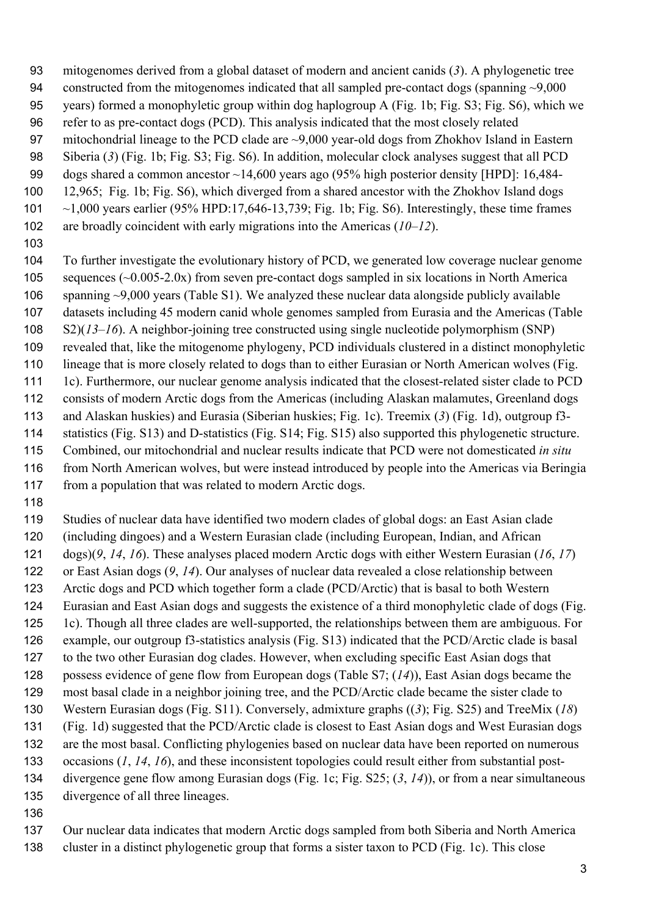- mitogenomes derived from a global dataset of modern and ancient canids (*3*). A phylogenetic tree
- constructed from the mitogenomes indicated that all sampled pre-contact dogs (spanning ~9,000
- years) formed a monophyletic group within dog haplogroup A (Fig. 1b; Fig. S3; Fig. S6), which we
- refer to as pre-contact dogs (PCD). This analysis indicated that the most closely related
- mitochondrial lineage to the PCD clade are ~9,000 year-old dogs from Zhokhov Island in Eastern Siberia (*3*) (Fig. 1b; Fig. S3; Fig. S6). In addition, molecular clock analyses suggest that all PCD
- dogs shared a common ancestor ~14,600 years ago (95% high posterior density [HPD]: 16,484-
- 12,965; Fig. 1b; Fig. S6), which diverged from a shared ancestor with the Zhokhov Island dogs
- ~1,000 years earlier (95% HPD:17,646-13,739; Fig. 1b; Fig. S6). Interestingly, these time frames
- are broadly coincident with early migrations into the Americas (*10*–*12*).
- 

 To further investigate the evolutionary history of PCD, we generated low coverage nuclear genome 105 sequences (~0.005-2.0x) from seven pre-contact dogs sampled in six locations in North America spanning ~9,000 years (Table S1). We analyzed these nuclear data alongside publicly available datasets including 45 modern canid whole genomes sampled from Eurasia and the Americas (Table S2)(*13*–*16*). A neighbor-joining tree constructed using single nucleotide polymorphism (SNP) revealed that, like the mitogenome phylogeny, PCD individuals clustered in a distinct monophyletic lineage that is more closely related to dogs than to either Eurasian or North American wolves (Fig. 1c). Furthermore, our nuclear genome analysis indicated that the closest-related sister clade to PCD consists of modern Arctic dogs from the Americas (including Alaskan malamutes, Greenland dogs and Alaskan huskies) and Eurasia (Siberian huskies; Fig. 1c). Treemix (*3*) (Fig. 1d), outgroup f3- statistics (Fig. S13) and D-statistics (Fig. S14; Fig. S15) also supported this phylogenetic structure. Combined, our mitochondrial and nuclear results indicate that PCD were not domesticated *in situ* 116 from North American wolves, but were instead introduced by people into the Americas via Beringia 117 from a population that was related to modern Arctic dogs.

 Studies of nuclear data have identified two modern clades of global dogs: an East Asian clade (including dingoes) and a Western Eurasian clade (including European, Indian, and African dogs)(*9*, *14*, *16*). These analyses placed modern Arctic dogs with either Western Eurasian (*16*, *17*) or East Asian dogs (*9*, *14*). Our analyses of nuclear data revealed a close relationship between Arctic dogs and PCD which together form a clade (PCD/Arctic) that is basal to both Western Eurasian and East Asian dogs and suggests the existence of a third monophyletic clade of dogs (Fig. 1c). Though all three clades are well-supported, the relationships between them are ambiguous. For example, our outgroup f3-statistics analysis (Fig. S13) indicated that the PCD/Arctic clade is basal to the two other Eurasian dog clades. However, when excluding specific East Asian dogs that possess evidence of gene flow from European dogs (Table S7; (*14*)), East Asian dogs became the most basal clade in a neighbor joining tree, and the PCD/Arctic clade became the sister clade to Western Eurasian dogs (Fig. S11). Conversely, admixture graphs ((*3*); Fig. S25) and TreeMix (*18*) (Fig. 1d) suggested that the PCD/Arctic clade is closest to East Asian dogs and West Eurasian dogs are the most basal. Conflicting phylogenies based on nuclear data have been reported on numerous occasions (*1*, *14*, *16*), and these inconsistent topologies could result either from substantial post- divergence gene flow among Eurasian dogs (Fig. 1c; Fig. S25; (*3*, *14*)), or from a near simultaneous divergence of all three lineages.

 Our nuclear data indicates that modern Arctic dogs sampled from both Siberia and North America cluster in a distinct phylogenetic group that forms a sister taxon to PCD (Fig. 1c). This close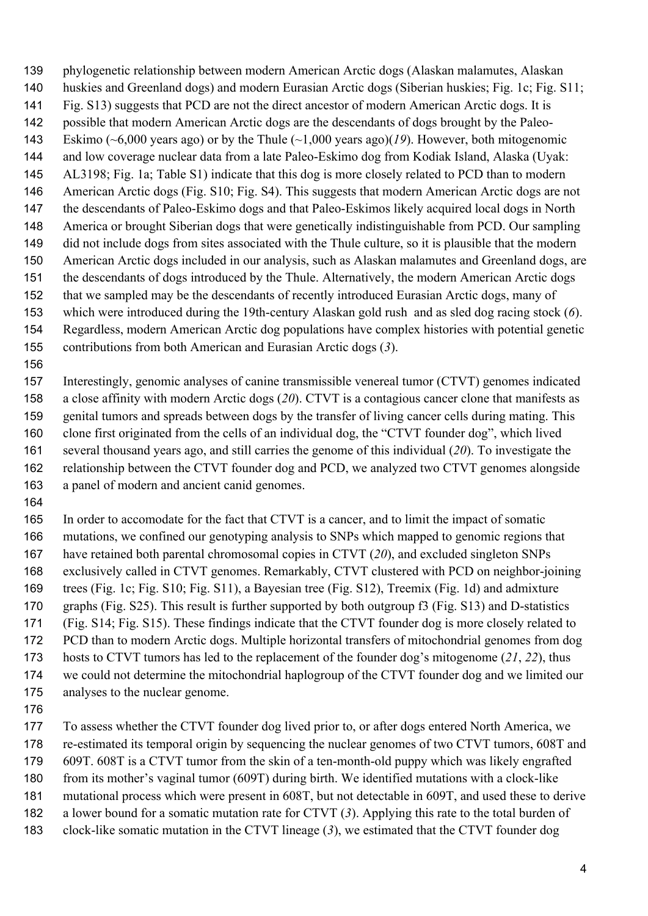phylogenetic relationship between modern American Arctic dogs (Alaskan malamutes, Alaskan huskies and Greenland dogs) and modern Eurasian Arctic dogs (Siberian huskies; Fig. 1c; Fig. S11; Fig. S13) suggests that PCD are not the direct ancestor of modern American Arctic dogs. It is possible that modern American Arctic dogs are the descendants of dogs brought by the Paleo- Eskimo (~6,000 years ago) or by the Thule (~1,000 years ago)(*19*). However, both mitogenomic and low coverage nuclear data from a late Paleo-Eskimo dog from Kodiak Island, Alaska (Uyak: AL3198; Fig. 1a; Table S1) indicate that this dog is more closely related to PCD than to modern American Arctic dogs (Fig. S10; Fig. S4). This suggests that modern American Arctic dogs are not the descendants of Paleo-Eskimo dogs and that Paleo-Eskimos likely acquired local dogs in North America or brought Siberian dogs that were genetically indistinguishable from PCD. Our sampling did not include dogs from sites associated with the Thule culture, so it is plausible that the modern American Arctic dogs included in our analysis, such as Alaskan malamutes and Greenland dogs, are the descendants of dogs introduced by the Thule. Alternatively, the modern American Arctic dogs that we sampled may be the descendants of recently introduced Eurasian Arctic dogs, many of which were introduced during the 19th-century Alaskan gold rush and as sled dog racing stock (*6*). Regardless, modern American Arctic dog populations have complex histories with potential genetic contributions from both American and Eurasian Arctic dogs (*3*).

 Interestingly, genomic analyses of canine transmissible venereal tumor (CTVT) genomes indicated a close affinity with modern Arctic dogs (*20*). CTVT is a contagious cancer clone that manifests as genital tumors and spreads between dogs by the transfer of living cancer cells during mating. This clone first originated from the cells of an individual dog, the "CTVT founder dog", which lived several thousand years ago, and still carries the genome of this individual (*20*). To investigate the relationship between the CTVT founder dog and PCD, we analyzed two CTVT genomes alongside a panel of modern and ancient canid genomes.

 In order to accomodate for the fact that CTVT is a cancer, and to limit the impact of somatic mutations, we confined our genotyping analysis to SNPs which mapped to genomic regions that have retained both parental chromosomal copies in CTVT (*20*), and excluded singleton SNPs exclusively called in CTVT genomes. Remarkably, CTVT clustered with PCD on neighbor-joining trees (Fig. 1c; Fig. S10; Fig. S11), a Bayesian tree (Fig. S12), Treemix (Fig. 1d) and admixture graphs (Fig. S25). This result is further supported by both outgroup f3 (Fig. S13) and D-statistics (Fig. S14; Fig. S15). These findings indicate that the CTVT founder dog is more closely related to PCD than to modern Arctic dogs. Multiple horizontal transfers of mitochondrial genomes from dog hosts to CTVT tumors has led to the replacement of the founder dog's mitogenome (*21*, *22*), thus we could not determine the mitochondrial haplogroup of the CTVT founder dog and we limited our analyses to the nuclear genome.

 To assess whether the CTVT founder dog lived prior to, or after dogs entered North America, we re-estimated its temporal origin by sequencing the nuclear genomes of two CTVT tumors, 608T and 609T. 608T is a CTVT tumor from the skin of a ten-month-old puppy which was likely engrafted from its mother's vaginal tumor (609T) during birth. We identified mutations with a clock-like mutational process which were present in 608T, but not detectable in 609T, and used these to derive a lower bound for a somatic mutation rate for CTVT (*3*). Applying this rate to the total burden of

clock-like somatic mutation in the CTVT lineage (*3*), we estimated that the CTVT founder dog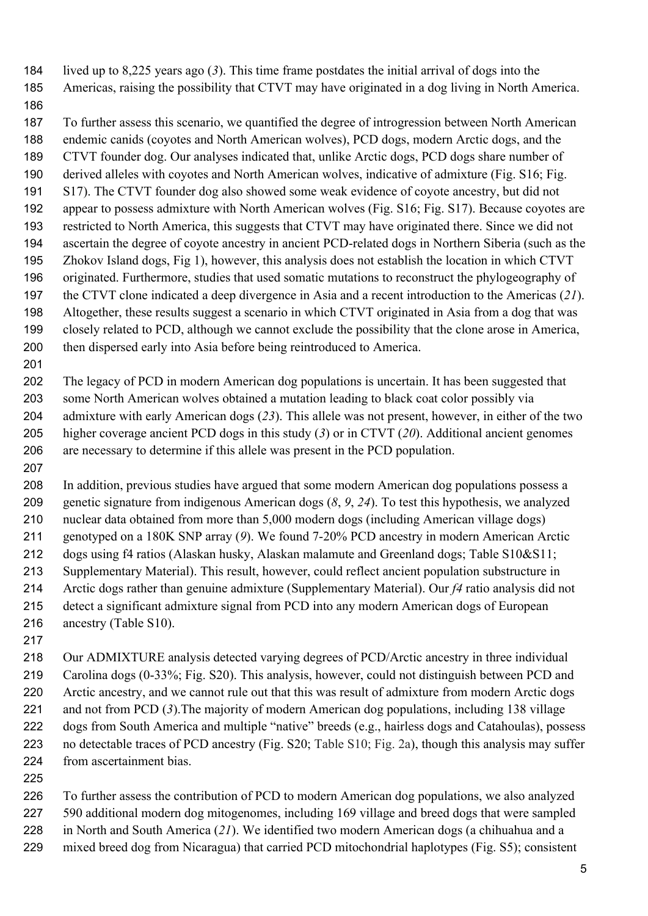lived up to 8,225 years ago (*3*). This time frame postdates the initial arrival of dogs into the

Americas, raising the possibility that CTVT may have originated in a dog living in North America.

 To further assess this scenario, we quantified the degree of introgression between North American endemic canids (coyotes and North American wolves), PCD dogs, modern Arctic dogs, and the CTVT founder dog. Our analyses indicated that, unlike Arctic dogs, PCD dogs share number of derived alleles with coyotes and North American wolves, indicative of admixture (Fig. S16; Fig. S17). The CTVT founder dog also showed some weak evidence of coyote ancestry, but did not appear to possess admixture with North American wolves (Fig. S16; Fig. S17). Because coyotes are restricted to North America, this suggests that CTVT may have originated there. Since we did not ascertain the degree of coyote ancestry in ancient PCD-related dogs in Northern Siberia (such as the Zhokov Island dogs, Fig 1), however, this analysis does not establish the location in which CTVT originated. Furthermore, studies that used somatic mutations to reconstruct the phylogeography of the CTVT clone indicated a deep divergence in Asia and a recent introduction to the Americas (*21*). Altogether, these results suggest a scenario in which CTVT originated in Asia from a dog that was closely related to PCD, although we cannot exclude the possibility that the clone arose in America, then dispersed early into Asia before being reintroduced to America.

 The legacy of PCD in modern American dog populations is uncertain. It has been suggested that some North American wolves obtained a mutation leading to black coat color possibly via admixture with early American dogs (*23*). This allele was not present, however, in either of the two higher coverage ancient PCD dogs in this study (*3*) or in CTVT (*20*). Additional ancient genomes are necessary to determine if this allele was present in the PCD population.

 In addition, previous studies have argued that some modern American dog populations possess a genetic signature from indigenous American dogs (*8*, *9*, *24*). To test this hypothesis, we analyzed nuclear data obtained from more than 5,000 modern dogs (including American village dogs) genotyped on a 180K SNP array (*9*). We found 7-20% PCD ancestry in modern American Arctic dogs using f4 ratios (Alaskan husky, Alaskan malamute and Greenland dogs; Table S10&S11; Supplementary Material). This result, however, could reflect ancient population substructure in Arctic dogs rather than genuine admixture (Supplementary Material). Our *f4* ratio analysis did not detect a significant admixture signal from PCD into any modern American dogs of European ancestry (Table S10).

 Our ADMIXTURE analysis detected varying degrees of PCD/Arctic ancestry in three individual Carolina dogs (0-33%; Fig. S20). This analysis, however, could not distinguish between PCD and Arctic ancestry, and we cannot rule out that this was result of admixture from modern Arctic dogs and not from PCD (*3*).The majority of modern American dog populations, including 138 village dogs from South America and multiple "native" breeds (e.g., hairless dogs and Catahoulas), possess no detectable traces of PCD ancestry (Fig. S20; Table S10; Fig. 2a), though this analysis may suffer from ascertainment bias.

 To further assess the contribution of PCD to modern American dog populations, we also analyzed 590 additional modern dog mitogenomes, including 169 village and breed dogs that were sampled in North and South America (*21*). We identified two modern American dogs (a chihuahua and a mixed breed dog from Nicaragua) that carried PCD mitochondrial haplotypes (Fig. S5); consistent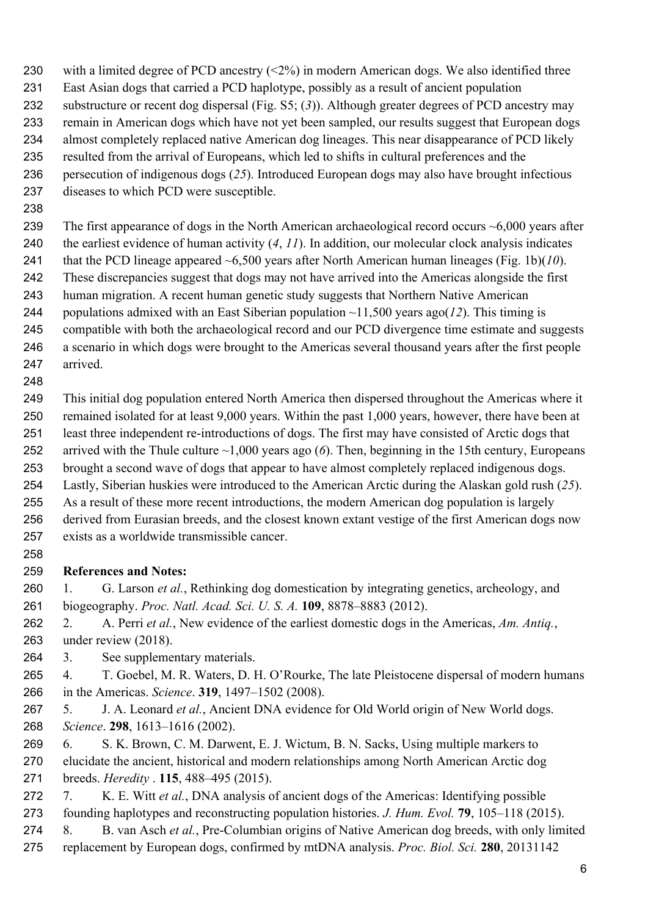with a limited degree of PCD ancestry (<2%) in modern American dogs. We also identified three

- East Asian dogs that carried a PCD haplotype, possibly as a result of ancient population
- substructure or recent dog dispersal (Fig. S5; (*3*)). Although greater degrees of PCD ancestry may
- remain in American dogs which have not yet been sampled, our results suggest that European dogs
- almost completely replaced native American dog lineages. This near disappearance of PCD likely
- resulted from the arrival of Europeans, which led to shifts in cultural preferences and the
- persecution of indigenous dogs (*25*). Introduced European dogs may also have brought infectious diseases to which PCD were susceptible.
- 

239 The first appearance of dogs in the North American archaeological record occurs ~6,000 years after

- the earliest evidence of human activity (*4*, *11*). In addition, our molecular clock analysis indicates
- that the PCD lineage appeared ~6,500 years after North American human lineages (Fig. 1b)(*10*).
- These discrepancies suggest that dogs may not have arrived into the Americas alongside the first human migration. A recent human genetic study suggests that Northern Native American
- 244 populations admixed with an East Siberian population  $\sim$ 11,500 years ago(12). This timing is
- compatible with both the archaeological record and our PCD divergence time estimate and suggests
- a scenario in which dogs were brought to the Americas several thousand years after the first people arrived.
- 

 This initial dog population entered North America then dispersed throughout the Americas where it remained isolated for at least 9,000 years. Within the past 1,000 years, however, there have been at least three independent re-introductions of dogs. The first may have consisted of Arctic dogs that arrived with the Thule culture ~1,000 years ago (*6*). Then, beginning in the 15th century, Europeans brought a second wave of dogs that appear to have almost completely replaced indigenous dogs. Lastly, Siberian huskies were introduced to the American Arctic during the Alaskan gold rush (*25*). As a result of these more recent introductions, the modern American dog population is largely derived from Eurasian breeds, and the closest known extant vestige of the first American dogs now

- exists as a worldwide transmissible cancer.
- 

## **References and Notes:**

- 1. G. Larson *et al.*, Rethinking dog domestication by integrating genetics, archeology, and biogeography. *Proc. Natl. Acad. Sci. U. S. A.* **109**, 8878–8883 (2012).
- 2. A. Perri *et al.*, New evidence of the earliest domestic dogs in the Americas, *Am. Antiq.*, under review (2018).
- 3. See supplementary materials.
- 4. T. Goebel, M. R. Waters, D. H. O'Rourke, The late Pleistocene dispersal of modern humans in the Americas. *Science*. **319**, 1497–1502 (2008).
- 5. J. A. Leonard *et al.*, Ancient DNA evidence for Old World origin of New World dogs. *Science*. **298**, 1613–1616 (2002).
- 6. S. K. Brown, C. M. Darwent, E. J. Wictum, B. N. Sacks, Using multiple markers to elucidate the ancient, historical and modern relationships among North American Arctic dog breeds. *Heredity* . **115**, 488–495 (2015).
- 7. K. E. Witt *et al.*, DNA analysis of ancient dogs of the Americas: Identifying possible founding haplotypes and reconstructing population histories. *J. Hum. Evol.* **79**, 105–118 (2015).
- 8. B. van Asch *et al.*, Pre-Columbian origins of Native American dog breeds, with only limited
- replacement by European dogs, confirmed by mtDNA analysis. *Proc. Biol. Sci.* **280**, 20131142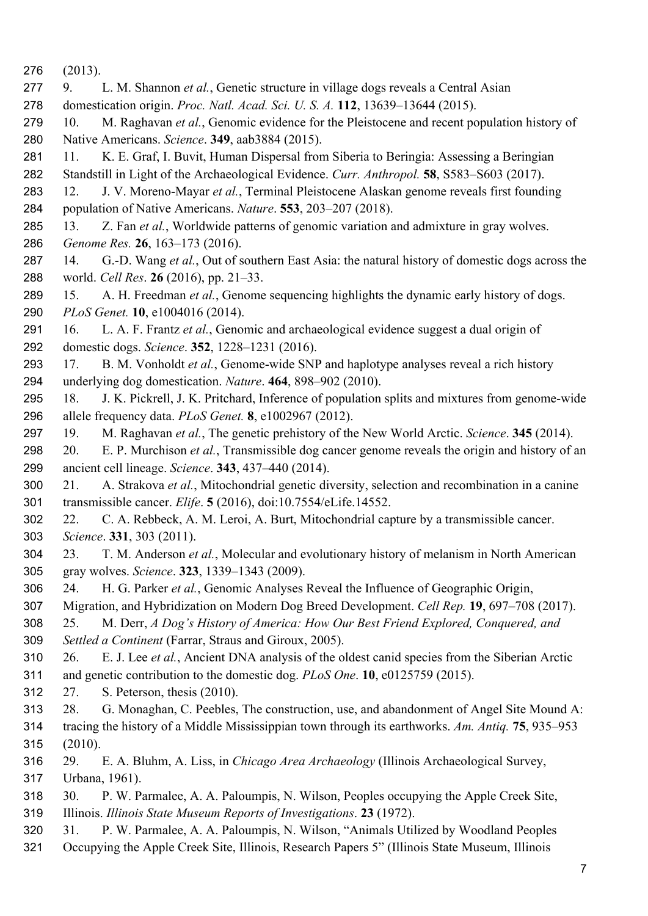- (2013).
- 9. L. M. Shannon *et al.*, Genetic structure in village dogs reveals a Central Asian
- domestication origin. *Proc. Natl. Acad. Sci. U. S. A.* **112**, 13639–13644 (2015).
- 10. M. Raghavan *et al.*, Genomic evidence for the Pleistocene and recent population history of Native Americans. *Science*. **349**, aab3884 (2015).
- 281 11. K. E. Graf, I. Buvit, Human Dispersal from Siberia to Beringia: Assessing a Beringian
- Standstill in Light of the Archaeological Evidence. *Curr. Anthropol.* **58**, S583–S603 (2017).
- 12. J. V. Moreno-Mayar *et al.*, Terminal Pleistocene Alaskan genome reveals first founding population of Native Americans. *Nature*. **553**, 203–207 (2018).
- 13. Z. Fan *et al.*, Worldwide patterns of genomic variation and admixture in gray wolves.
- *Genome Res.* **26**, 163–173 (2016).
- 14. G.-D. Wang *et al.*, Out of southern East Asia: the natural history of domestic dogs across the world. *Cell Res*. **26** (2016), pp. 21–33.
- 15. A. H. Freedman *et al.*, Genome sequencing highlights the dynamic early history of dogs. *PLoS Genet.* **10**, e1004016 (2014).
- 16. L. A. F. Frantz *et al.*, Genomic and archaeological evidence suggest a dual origin of domestic dogs. *Science*. **352**, 1228–1231 (2016).
- 17. B. M. Vonholdt *et al.*, Genome-wide SNP and haplotype analyses reveal a rich history underlying dog domestication. *Nature*. **464**, 898–902 (2010).
- 18. J. K. Pickrell, J. K. Pritchard, Inference of population splits and mixtures from genome-wide allele frequency data. *PLoS Genet.* **8**, e1002967 (2012).
- 19. M. Raghavan *et al.*, The genetic prehistory of the New World Arctic. *Science*. **345** (2014).
- 20. E. P. Murchison *et al.*, Transmissible dog cancer genome reveals the origin and history of an ancient cell lineage. *Science*. **343**, 437–440 (2014).
- 21. A. Strakova *et al.*, Mitochondrial genetic diversity, selection and recombination in a canine transmissible cancer. *Elife*. **5** (2016), doi:10.7554/eLife.14552.
- 22. C. A. Rebbeck, A. M. Leroi, A. Burt, Mitochondrial capture by a transmissible cancer. *Science*. **331**, 303 (2011).
- 23. T. M. Anderson *et al.*, Molecular and evolutionary history of melanism in North American gray wolves. *Science*. **323**, 1339–1343 (2009).
- 24. H. G. Parker *et al.*, Genomic Analyses Reveal the Influence of Geographic Origin,
- Migration, and Hybridization on Modern Dog Breed Development. *Cell Rep.* **19**, 697–708 (2017).
- 25. M. Derr, *A Dog's History of America: How Our Best Friend Explored, Conquered, and Settled a Continent* (Farrar, Straus and Giroux, 2005).
- 26. E. J. Lee *et al.*, Ancient DNA analysis of the oldest canid species from the Siberian Arctic and genetic contribution to the domestic dog. *PLoS One*. **10**, e0125759 (2015).
- 27. S. Peterson, thesis (2010).
- 28. G. Monaghan, C. Peebles, The construction, use, and abandonment of Angel Site Mound A: tracing the history of a Middle Mississippian town through its earthworks. *Am. Antiq.* **75**, 935–953 (2010).
- 29. E. A. Bluhm, A. Liss, in *Chicago Area Archaeology* (Illinois Archaeological Survey, Urbana, 1961).
- 30. P. W. Parmalee, A. A. Paloumpis, N. Wilson, Peoples occupying the Apple Creek Site, Illinois. *Illinois State Museum Reports of Investigations*. **23** (1972).
- 31. P. W. Parmalee, A. A. Paloumpis, N. Wilson, "Animals Utilized by Woodland Peoples
- Occupying the Apple Creek Site, Illinois, Research Papers 5" (Illinois State Museum, Illinois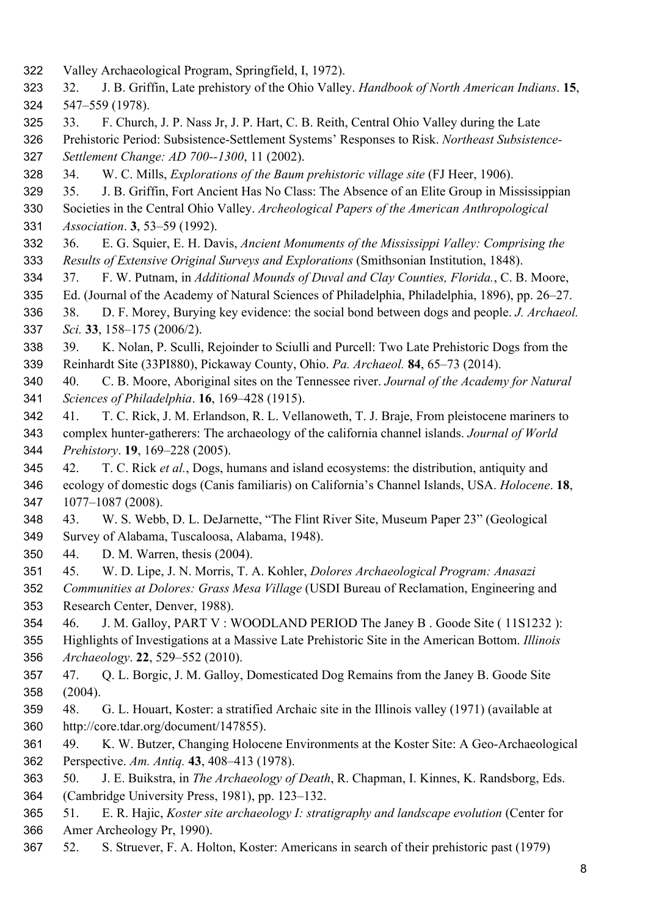- Valley Archaeological Program, Springfield, I, 1972).
- 32. J. B. Griffin, Late prehistory of the Ohio Valley. *Handbook of North American Indians*. **15**, 547–559 (1978).
- 33. F. Church, J. P. Nass Jr, J. P. Hart, C. B. Reith, Central Ohio Valley during the Late

 Prehistoric Period: Subsistence-Settlement Systems' Responses to Risk. *Northeast Subsistence-Settlement Change: AD 700--1300*, 11 (2002).

- 34. W. C. Mills, *Explorations of the Baum prehistoric village site* (FJ Heer, 1906).
- 35. J. B. Griffin, Fort Ancient Has No Class: The Absence of an Elite Group in Mississippian

 Societies in the Central Ohio Valley. *Archeological Papers of the American Anthropological Association*. **3**, 53–59 (1992).

- 36. E. G. Squier, E. H. Davis, *Ancient Monuments of the Mississippi Valley: Comprising the Results of Extensive Original Surveys and Explorations* (Smithsonian Institution, 1848).
- 37. F. W. Putnam, in *Additional Mounds of Duval and Clay Counties, Florida.*, C. B. Moore,
- Ed. (Journal of the Academy of Natural Sciences of Philadelphia, Philadelphia, 1896), pp. 26–27.
- 38. D. F. Morey, Burying key evidence: the social bond between dogs and people. *J. Archaeol. Sci.* **33**, 158–175 (2006/2).
- 39. K. Nolan, P. Sculli, Rejoinder to Sciulli and Purcell: Two Late Prehistoric Dogs from the Reinhardt Site (33PI880), Pickaway County, Ohio. *Pa. Archaeol.* **84**, 65–73 (2014).
- 40. C. B. Moore, Aboriginal sites on the Tennessee river. *Journal of the Academy for Natural Sciences of Philadelphia*. **16**, 169–428 (1915).
- 41. T. C. Rick, J. M. Erlandson, R. L. Vellanoweth, T. J. Braje, From pleistocene mariners to
- complex hunter-gatherers: The archaeology of the california channel islands. *Journal of World Prehistory*. **19**, 169–228 (2005).
- 42. T. C. Rick *et al.*, Dogs, humans and island ecosystems: the distribution, antiquity and ecology of domestic dogs (Canis familiaris) on California's Channel Islands, USA. *Holocene*. **18**, 1077–1087 (2008).
- 43. W. S. Webb, D. L. DeJarnette, "The Flint River Site, Museum Paper 23" (Geological Survey of Alabama, Tuscaloosa, Alabama, 1948).
- 44. D. M. Warren, thesis (2004).
- 45. W. D. Lipe, J. N. Morris, T. A. Kohler, *Dolores Archaeological Program: Anasazi*
- *Communities at Dolores: Grass Mesa Village* (USDI Bureau of Reclamation, Engineering and Research Center, Denver, 1988).
- 46. J. M. Galloy, PART V : WOODLAND PERIOD The Janey B . Goode Site ( 11S1232 ):

 Highlights of Investigations at a Massive Late Prehistoric Site in the American Bottom. *Illinois Archaeology*. **22**, 529–552 (2010).

- 47. Q. L. Borgic, J. M. Galloy, Domesticated Dog Remains from the Janey B. Goode Site (2004).
- 48. G. L. Houart, Koster: a stratified Archaic site in the Illinois valley (1971) (available at http://core.tdar.org/document/147855).
- 49. K. W. Butzer, Changing Holocene Environments at the Koster Site: A Geo-Archaeological Perspective. *Am. Antiq.* **43**, 408–413 (1978).
- 50. J. E. Buikstra, in *The Archaeology of Death*, R. Chapman, I. Kinnes, K. Randsborg, Eds. (Cambridge University Press, 1981), pp. 123–132.
- 51. E. R. Hajic, *Koster site archaeology I: stratigraphy and landscape evolution* (Center for Amer Archeology Pr, 1990).
- 52. S. Struever, F. A. Holton, Koster: Americans in search of their prehistoric past (1979)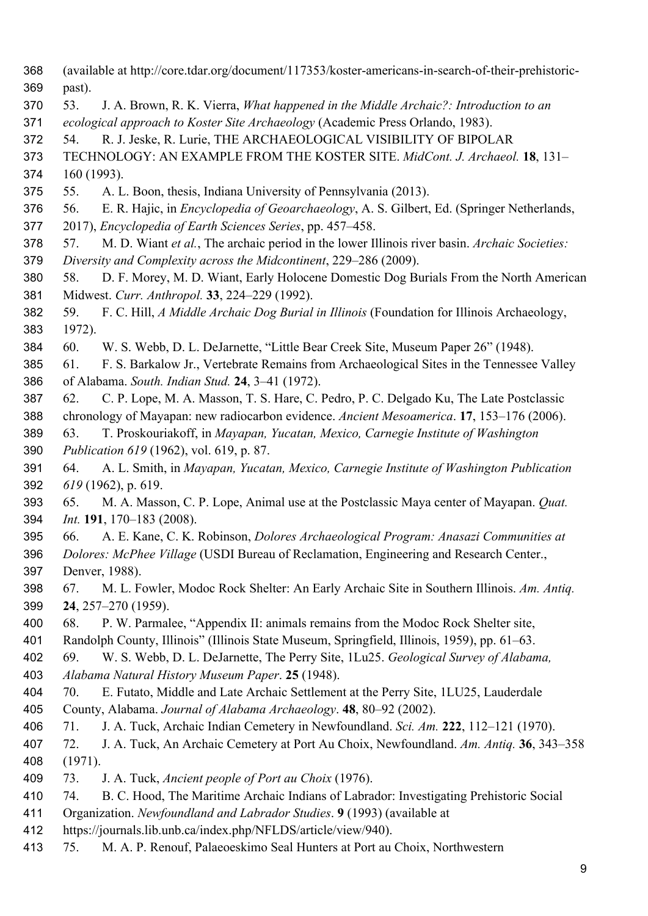- (available at http://core.tdar.org/document/117353/koster-americans-in-search-of-their-prehistoric-past).
- 53. J. A. Brown, R. K. Vierra, *What happened in the Middle Archaic?: Introduction to an*
- *ecological approach to Koster Site Archaeology* (Academic Press Orlando, 1983).
- 54. R. J. Jeske, R. Lurie, THE ARCHAEOLOGICAL VISIBILITY OF BIPOLAR
- TECHNOLOGY: AN EXAMPLE FROM THE KOSTER SITE. *MidCont. J. Archaeol.* **18**, 131–
- 160 (1993).
- 55. A. L. Boon, thesis, Indiana University of Pennsylvania (2013).
- 56. E. R. Hajic, in *Encyclopedia of Geoarchaeology*, A. S. Gilbert, Ed. (Springer Netherlands,
- 2017), *Encyclopedia of Earth Sciences Series*, pp. 457–458.
- 57. M. D. Wiant *et al.*, The archaic period in the lower Illinois river basin. *Archaic Societies: Diversity and Complexity across the Midcontinent*, 229–286 (2009).
- 58. D. F. Morey, M. D. Wiant, Early Holocene Domestic Dog Burials From the North American Midwest. *Curr. Anthropol.* **33**, 224–229 (1992).
- 59. F. C. Hill, *A Middle Archaic Dog Burial in Illinois* (Foundation for Illinois Archaeology, 1972).
- 60. W. S. Webb, D. L. DeJarnette, "Little Bear Creek Site, Museum Paper 26" (1948).
- 61. F. S. Barkalow Jr., Vertebrate Remains from Archaeological Sites in the Tennessee Valley of Alabama. *South. Indian Stud.* **24**, 3–41 (1972).
- 62. C. P. Lope, M. A. Masson, T. S. Hare, C. Pedro, P. C. Delgado Ku, The Late Postclassic chronology of Mayapan: new radiocarbon evidence. *Ancient Mesoamerica*. **17**, 153–176 (2006).
- 63. T. Proskouriakoff, in *Mayapan, Yucatan, Mexico, Carnegie Institute of Washington*
- *Publication 619* (1962), vol. 619, p. 87.
- 64. A. L. Smith, in *Mayapan, Yucatan, Mexico, Carnegie Institute of Washington Publication 619* (1962), p. 619.
- 65. M. A. Masson, C. P. Lope, Animal use at the Postclassic Maya center of Mayapan. *Quat. Int.* **191**, 170–183 (2008).
- 66. A. E. Kane, C. K. Robinson, *Dolores Archaeological Program: Anasazi Communities at Dolores: McPhee Village* (USDI Bureau of Reclamation, Engineering and Research Center.,
- Denver, 1988).
- 67. M. L. Fowler, Modoc Rock Shelter: An Early Archaic Site in Southern Illinois. *Am. Antiq.* **24**, 257–270 (1959).
- 68. P. W. Parmalee, "Appendix II: animals remains from the Modoc Rock Shelter site,
- Randolph County, Illinois" (Illinois State Museum, Springfield, Illinois, 1959), pp. 61–63.
- 69. W. S. Webb, D. L. DeJarnette, The Perry Site, 1Lu25. *Geological Survey of Alabama,*
- *Alabama Natural History Museum Paper*. **25** (1948).
- 70. E. Futato, Middle and Late Archaic Settlement at the Perry Site, 1LU25, Lauderdale
- County, Alabama. *Journal of Alabama Archaeology*. **48**, 80–92 (2002).
- 71. J. A. Tuck, Archaic Indian Cemetery in Newfoundland. *Sci. Am.* **222**, 112–121 (1970).
- 72. J. A. Tuck, An Archaic Cemetery at Port Au Choix, Newfoundland. *Am. Antiq.* **36**, 343–358 (1971).
- 73. J. A. Tuck, *Ancient people of Port au Choix* (1976).
- 74. B. C. Hood, The Maritime Archaic Indians of Labrador: Investigating Prehistoric Social
- Organization. *Newfoundland and Labrador Studies*. **9** (1993) (available at
- https://journals.lib.unb.ca/index.php/NFLDS/article/view/940).
- 75. M. A. P. Renouf, Palaeoeskimo Seal Hunters at Port au Choix, Northwestern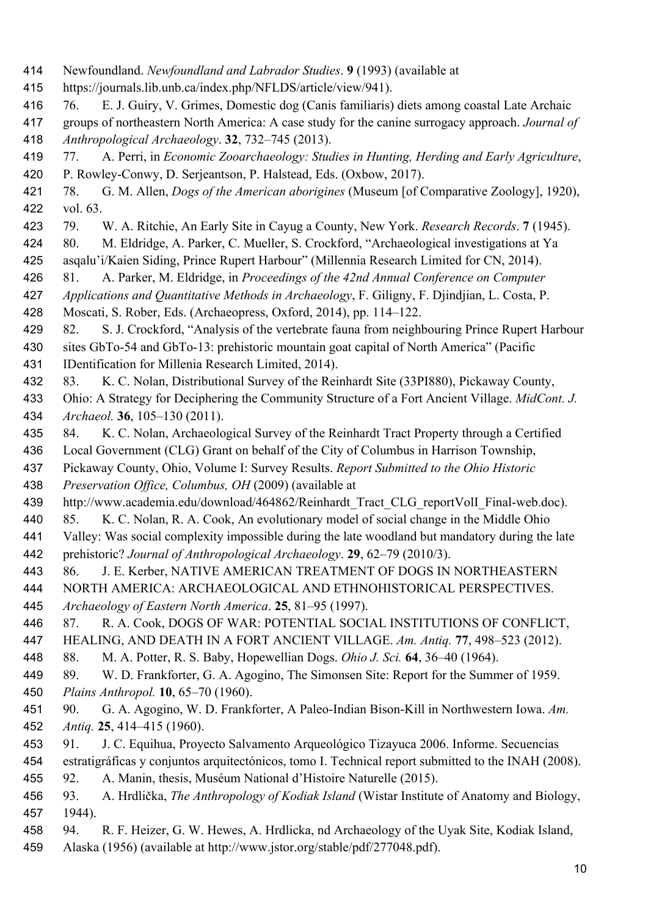- Newfoundland. *Newfoundland and Labrador Studies*. **9** (1993) (available at
- https://journals.lib.unb.ca/index.php/NFLDS/article/view/941).
- 76. E. J. Guiry, V. Grimes, Domestic dog (Canis familiaris) diets among coastal Late Archaic
- groups of northeastern North America: A case study for the canine surrogacy approach. *Journal of Anthropological Archaeology*. **32**, 732–745 (2013).
- 77. A. Perri, in *Economic Zooarchaeology: Studies in Hunting, Herding and Early Agriculture*, P. Rowley-Conwy, D. Serjeantson, P. Halstead, Eds. (Oxbow, 2017).
- 78. G. M. Allen, *Dogs of the American aborigines* (Museum [of Comparative Zoology], 1920), vol. 63.
- 79. W. A. Ritchie, An Early Site in Cayug a County, New York. *Research Records*. **7** (1945).
- 80. M. Eldridge, A. Parker, C. Mueller, S. Crockford, "Archaeological investigations at Ya
- asqalu'i/Kaien Siding, Prince Rupert Harbour" (Millennia Research Limited for CN, 2014).
- 81. A. Parker, M. Eldridge, in *Proceedings of the 42nd Annual Conference on Computer*
- *Applications and Quantitative Methods in Archaeology*, F. Giligny, F. Djindjian, L. Costa, P.
- Moscati, S. Rober, Eds. (Archaeopress, Oxford, 2014), pp. 114–122.
- 82. S. J. Crockford, "Analysis of the vertebrate fauna from neighbouring Prince Rupert Harbour
- sites GbTo-54 and GbTo-13: prehistoric mountain goat capital of North America" (Pacific IDentification for Millenia Research Limited, 2014).
- 83. K. C. Nolan, Distributional Survey of the Reinhardt Site (33PI880), Pickaway County,
- Ohio: A Strategy for Deciphering the Community Structure of a Fort Ancient Village. *MidCont. J. Archaeol.* **36**, 105–130 (2011).
- 84. K. C. Nolan, Archaeological Survey of the Reinhardt Tract Property through a Certified
- Local Government (CLG) Grant on behalf of the City of Columbus in Harrison Township,
- Pickaway County, Ohio, Volume I: Survey Results. *Report Submitted to the Ohio Historic*
- *Preservation Office, Columbus, OH* (2009) (available at
- 439 http://www.academia.edu/download/464862/Reinhardt Tract CLG reportVolI Final-web.doc).
- 85. K. C. Nolan, R. A. Cook, An evolutionary model of social change in the Middle Ohio
- Valley: Was social complexity impossible during the late woodland but mandatory during the late prehistoric? *Journal of Anthropological Archaeology*. **29**, 62–79 (2010/3).
- 86. J. E. Kerber, NATIVE AMERICAN TREATMENT OF DOGS IN NORTHEASTERN
- NORTH AMERICA: ARCHAEOLOGICAL AND ETHNOHISTORICAL PERSPECTIVES.
- *Archaeology of Eastern North America*. **25**, 81–95 (1997).
- 87. R. A. Cook, DOGS OF WAR: POTENTIAL SOCIAL INSTITUTIONS OF CONFLICT,
- HEALING, AND DEATH IN A FORT ANCIENT VILLAGE. *Am. Antiq.* **77**, 498–523 (2012).
- 88. M. A. Potter, R. S. Baby, Hopewellian Dogs. *Ohio J. Sci.* **64**, 36–40 (1964).
- 89. W. D. Frankforter, G. A. Agogino, The Simonsen Site: Report for the Summer of 1959. *Plains Anthropol.* **10**, 65–70 (1960).
- 90. G. A. Agogino, W. D. Frankforter, A Paleo-Indian Bison-Kill in Northwestern Iowa. *Am. Antiq.* **25**, 414–415 (1960).
- 91. J. C. Equihua, Proyecto Salvamento Arqueológico Tizayuca 2006. Informe. Secuencias
- estratigráficas y conjuntos arquitectónicos, tomo I. Technical report submitted to the INAH (2008).
- 92. A. Manin, thesis, Muséum National d'Histoire Naturelle (2015).
- 93. A. Hrdlička, *The Anthropology of Kodiak Island* (Wistar Institute of Anatomy and Biology, 1944).
- 94. R. F. Heizer, G. W. Hewes, A. Hrdlicka, nd Archaeology of the Uyak Site, Kodiak Island,
- Alaska (1956) (available at http://www.jstor.org/stable/pdf/277048.pdf).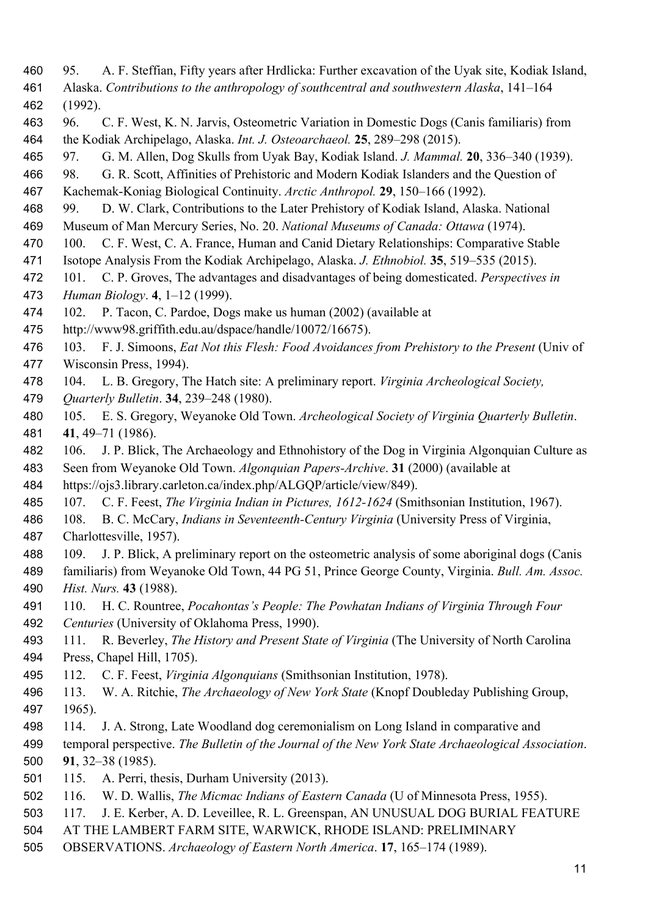- 95. A. F. Steffian, Fifty years after Hrdlicka: Further excavation of the Uyak site, Kodiak Island,
- Alaska. *Contributions to the anthropology of southcentral and southwestern Alaska*, 141–164
- (1992).
- 96. C. F. West, K. N. Jarvis, Osteometric Variation in Domestic Dogs (Canis familiaris) from the Kodiak Archipelago, Alaska. *Int. J. Osteoarchaeol.* **25**, 289–298 (2015).
- 97. G. M. Allen, Dog Skulls from Uyak Bay, Kodiak Island. *J. Mammal.* **20**, 336–340 (1939).
- 98. G. R. Scott, Affinities of Prehistoric and Modern Kodiak Islanders and the Question of Kachemak-Koniag Biological Continuity. *Arctic Anthropol.* **29**, 150–166 (1992).
- 99. D. W. Clark, Contributions to the Later Prehistory of Kodiak Island, Alaska. National
- Museum of Man Mercury Series, No. 20. *National Museums of Canada: Ottawa* (1974).
- 100. C. F. West, C. A. France, Human and Canid Dietary Relationships: Comparative Stable
- Isotope Analysis From the Kodiak Archipelago, Alaska. *J. Ethnobiol.* **35**, 519–535 (2015).
- 101. C. P. Groves, The advantages and disadvantages of being domesticated. *Perspectives in*
- *Human Biology*. **4**, 1–12 (1999).
- 102. P. Tacon, C. Pardoe, Dogs make us human (2002) (available at
- http://www98.griffith.edu.au/dspace/handle/10072/16675).
- 103. F. J. Simoons, *Eat Not this Flesh: Food Avoidances from Prehistory to the Present* (Univ of Wisconsin Press, 1994).
- 104. L. B. Gregory, The Hatch site: A preliminary report. *Virginia Archeological Society,*
- *Quarterly Bulletin*. **34**, 239–248 (1980).
- 105. E. S. Gregory, Weyanoke Old Town. *Archeological Society of Virginia Quarterly Bulletin*. **41**, 49–71 (1986).
- 106. J. P. Blick, The Archaeology and Ethnohistory of the Dog in Virginia Algonquian Culture as
- Seen from Weyanoke Old Town. *Algonquian Papers-Archive*. **31** (2000) (available at
- https://ojs3.library.carleton.ca/index.php/ALGQP/article/view/849).
- 107. C. F. Feest, *The Virginia Indian in Pictures, 1612-1624* (Smithsonian Institution, 1967).
- 108. B. C. McCary, *Indians in Seventeenth-Century Virginia* (University Press of Virginia, Charlottesville, 1957).
- 109. J. P. Blick, A preliminary report on the osteometric analysis of some aboriginal dogs (Canis
- familiaris) from Weyanoke Old Town, 44 PG 51, Prince George County, Virginia. *Bull. Am. Assoc. Hist. Nurs.* **43** (1988).
- 110. H. C. Rountree, *Pocahontas's People: The Powhatan Indians of Virginia Through Four*
- *Centuries* (University of Oklahoma Press, 1990).
- 111. R. Beverley, *The History and Present State of Virginia* (The University of North Carolina Press, Chapel Hill, 1705).
- 112. C. F. Feest, *Virginia Algonquians* (Smithsonian Institution, 1978).
- 113. W. A. Ritchie, *The Archaeology of New York State* (Knopf Doubleday Publishing Group, 1965).
- 114. J. A. Strong, Late Woodland dog ceremonialism on Long Island in comparative and
- temporal perspective. *The Bulletin of the Journal of the New York State Archaeological Association*. **91**, 32–38 (1985).
- 115. A. Perri, thesis, Durham University (2013).
- 116. W. D. Wallis, *The Micmac Indians of Eastern Canada* (U of Minnesota Press, 1955).
- 117. J. E. Kerber, A. D. Leveillee, R. L. Greenspan, AN UNUSUAL DOG BURIAL FEATURE
- AT THE LAMBERT FARM SITE, WARWICK, RHODE ISLAND: PRELIMINARY
- OBSERVATIONS. *Archaeology of Eastern North America*. **17**, 165–174 (1989).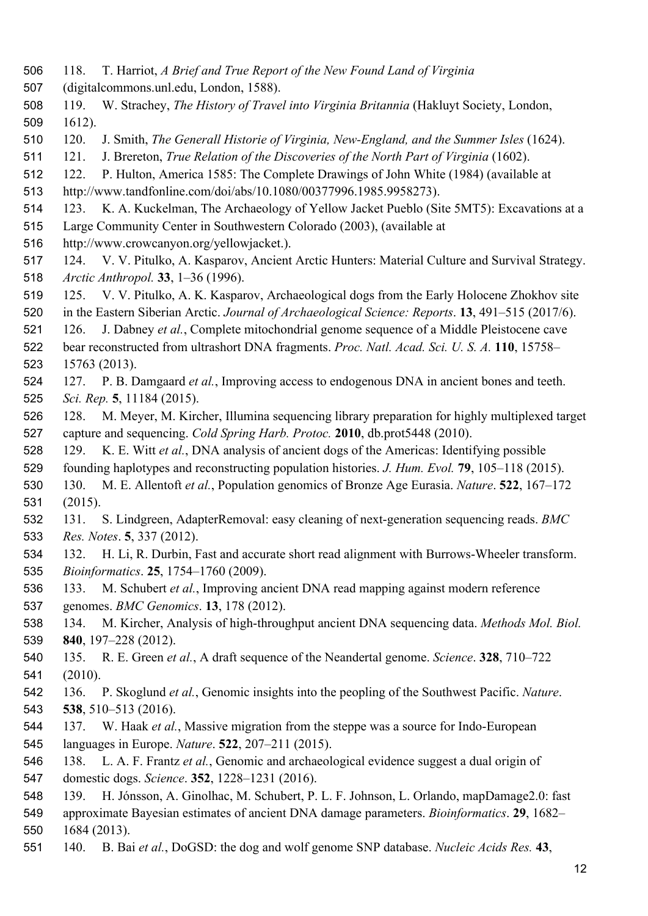- 118. T. Harriot, *A Brief and True Report of the New Found Land of Virginia*
- (digitalcommons.unl.edu, London, 1588).
- 119. W. Strachey, *The History of Travel into Virginia Britannia* (Hakluyt Society, London, 1612).
- 120. J. Smith, *The Generall Historie of Virginia, New-England, and the Summer Isles* (1624).
- 121. J. Brereton, *True Relation of the Discoveries of the North Part of Virginia* (1602).
- 122. P. Hulton, America 1585: The Complete Drawings of John White (1984) (available at
- http://www.tandfonline.com/doi/abs/10.1080/00377996.1985.9958273).
- 123. K. A. Kuckelman, The Archaeology of Yellow Jacket Pueblo (Site 5MT5): Excavations at a
- Large Community Center in Southwestern Colorado (2003), (available at
- http://www.crowcanyon.org/yellowjacket.).
- 124. V. V. Pitulko, A. Kasparov, Ancient Arctic Hunters: Material Culture and Survival Strategy. *Arctic Anthropol.* **33**, 1–36 (1996).
- 125. V. V. Pitulko, A. K. Kasparov, Archaeological dogs from the Early Holocene Zhokhov site
- in the Eastern Siberian Arctic. *Journal of Archaeological Science: Reports*. **13**, 491–515 (2017/6).
- 126. J. Dabney *et al.*, Complete mitochondrial genome sequence of a Middle Pleistocene cave
- bear reconstructed from ultrashort DNA fragments. *Proc. Natl. Acad. Sci. U. S. A.* **110**, 15758– 15763 (2013).
- 127. P. B. Damgaard *et al.*, Improving access to endogenous DNA in ancient bones and teeth. *Sci. Rep.* **5**, 11184 (2015).
- 128. M. Meyer, M. Kircher, Illumina sequencing library preparation for highly multiplexed target capture and sequencing. *Cold Spring Harb. Protoc.* **2010**, db.prot5448 (2010).
- 129. K. E. Witt *et al.*, DNA analysis of ancient dogs of the Americas: Identifying possible
- founding haplotypes and reconstructing population histories. *J. Hum. Evol.* **79**, 105–118 (2015).
- 130. M. E. Allentoft *et al.*, Population genomics of Bronze Age Eurasia. *Nature*. **522**, 167–172 (2015).
- 131. S. Lindgreen, AdapterRemoval: easy cleaning of next-generation sequencing reads. *BMC Res. Notes*. **5**, 337 (2012).
- 132. H. Li, R. Durbin, Fast and accurate short read alignment with Burrows-Wheeler transform. *Bioinformatics*. **25**, 1754–1760 (2009).
- 133. M. Schubert *et al.*, Improving ancient DNA read mapping against modern reference
- genomes. *BMC Genomics*. **13**, 178 (2012).
- 134. M. Kircher, Analysis of high-throughput ancient DNA sequencing data. *Methods Mol. Biol.* **840**, 197–228 (2012).
- 135. R. E. Green *et al.*, A draft sequence of the Neandertal genome. *Science*. **328**, 710–722 (2010).
- 136. P. Skoglund *et al.*, Genomic insights into the peopling of the Southwest Pacific. *Nature*. **538**, 510–513 (2016).
- 137. W. Haak *et al.*, Massive migration from the steppe was a source for Indo-European languages in Europe. *Nature*. **522**, 207–211 (2015).
- 138. L. A. F. Frantz *et al.*, Genomic and archaeological evidence suggest a dual origin of
- domestic dogs. *Science*. **352**, 1228–1231 (2016).
- 139. H. Jónsson, A. Ginolhac, M. Schubert, P. L. F. Johnson, L. Orlando, mapDamage2.0: fast
- approximate Bayesian estimates of ancient DNA damage parameters. *Bioinformatics*. **29**, 1682– 1684 (2013).
- 140. B. Bai *et al.*, DoGSD: the dog and wolf genome SNP database. *Nucleic Acids Res.* **43**,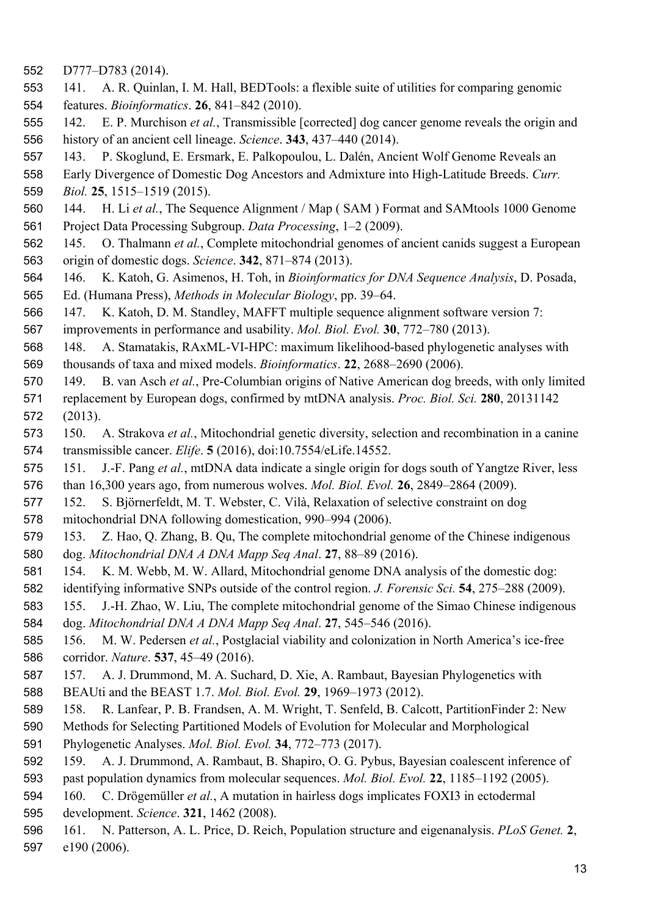- D777–D783 (2014).
- 141. A. R. Quinlan, I. M. Hall, BEDTools: a flexible suite of utilities for comparing genomic features. *Bioinformatics*. **26**, 841–842 (2010).
- 142. E. P. Murchison *et al.*, Transmissible [corrected] dog cancer genome reveals the origin and history of an ancient cell lineage. *Science*. **343**, 437–440 (2014).
- 143. P. Skoglund, E. Ersmark, E. Palkopoulou, L. Dalén, Ancient Wolf Genome Reveals an
- Early Divergence of Domestic Dog Ancestors and Admixture into High-Latitude Breeds. *Curr.*
- *Biol.* **25**, 1515–1519 (2015).
- 144. H. Li *et al.*, The Sequence Alignment / Map ( SAM ) Format and SAMtools 1000 Genome Project Data Processing Subgroup. *Data Processing*, 1–2 (2009).
- 145. O. Thalmann *et al.*, Complete mitochondrial genomes of ancient canids suggest a European origin of domestic dogs. *Science*. **342**, 871–874 (2013).
- 146. K. Katoh, G. Asimenos, H. Toh, in *Bioinformatics for DNA Sequence Analysis*, D. Posada, Ed. (Humana Press), *Methods in Molecular Biology*, pp. 39–64.
- 147. K. Katoh, D. M. Standley, MAFFT multiple sequence alignment software version 7:
- improvements in performance and usability. *Mol. Biol. Evol.* **30**, 772–780 (2013).
- 148. A. Stamatakis, RAxML-VI-HPC: maximum likelihood-based phylogenetic analyses with thousands of taxa and mixed models. *Bioinformatics*. **22**, 2688–2690 (2006).
- 149. B. van Asch *et al.*, Pre-Columbian origins of Native American dog breeds, with only limited replacement by European dogs, confirmed by mtDNA analysis. *Proc. Biol. Sci.* **280**, 20131142 (2013).
- 150. A. Strakova *et al.*, Mitochondrial genetic diversity, selection and recombination in a canine transmissible cancer. *Elife*. **5** (2016), doi:10.7554/eLife.14552.
- 151. J.-F. Pang *et al.*, mtDNA data indicate a single origin for dogs south of Yangtze River, less
- than 16,300 years ago, from numerous wolves. *Mol. Biol. Evol.* **26**, 2849–2864 (2009).
- 152. S. Björnerfeldt, M. T. Webster, C. Vilà, Relaxation of selective constraint on dog
- mitochondrial DNA following domestication, 990–994 (2006).
- 153. Z. Hao, Q. Zhang, B. Qu, The complete mitochondrial genome of the Chinese indigenous dog. *Mitochondrial DNA A DNA Mapp Seq Anal*. **27**, 88–89 (2016).
- 154. K. M. Webb, M. W. Allard, Mitochondrial genome DNA analysis of the domestic dog:
- identifying informative SNPs outside of the control region. *J. Forensic Sci.* **54**, 275–288 (2009).
- 155. J.-H. Zhao, W. Liu, The complete mitochondrial genome of the Simao Chinese indigenous dog. *Mitochondrial DNA A DNA Mapp Seq Anal*. **27**, 545–546 (2016).
- 156. M. W. Pedersen *et al.*, Postglacial viability and colonization in North America's ice-free corridor. *Nature*. **537**, 45–49 (2016).
- 157. A. J. Drummond, M. A. Suchard, D. Xie, A. Rambaut, Bayesian Phylogenetics with BEAUti and the BEAST 1.7. *Mol. Biol. Evol.* **29**, 1969–1973 (2012).
- 158. R. Lanfear, P. B. Frandsen, A. M. Wright, T. Senfeld, B. Calcott, PartitionFinder 2: New
- Methods for Selecting Partitioned Models of Evolution for Molecular and Morphological Phylogenetic Analyses. *Mol. Biol. Evol.* **34**, 772–773 (2017).
- 159. A. J. Drummond, A. Rambaut, B. Shapiro, O. G. Pybus, Bayesian coalescent inference of
- past population dynamics from molecular sequences. *Mol. Biol. Evol.* **22**, 1185–1192 (2005).
- 160. C. Drögemüller *et al.*, A mutation in hairless dogs implicates FOXI3 in ectodermal
- development. *Science*. **321**, 1462 (2008).
- 161. N. Patterson, A. L. Price, D. Reich, Population structure and eigenanalysis. *PLoS Genet.* **2**, e190 (2006).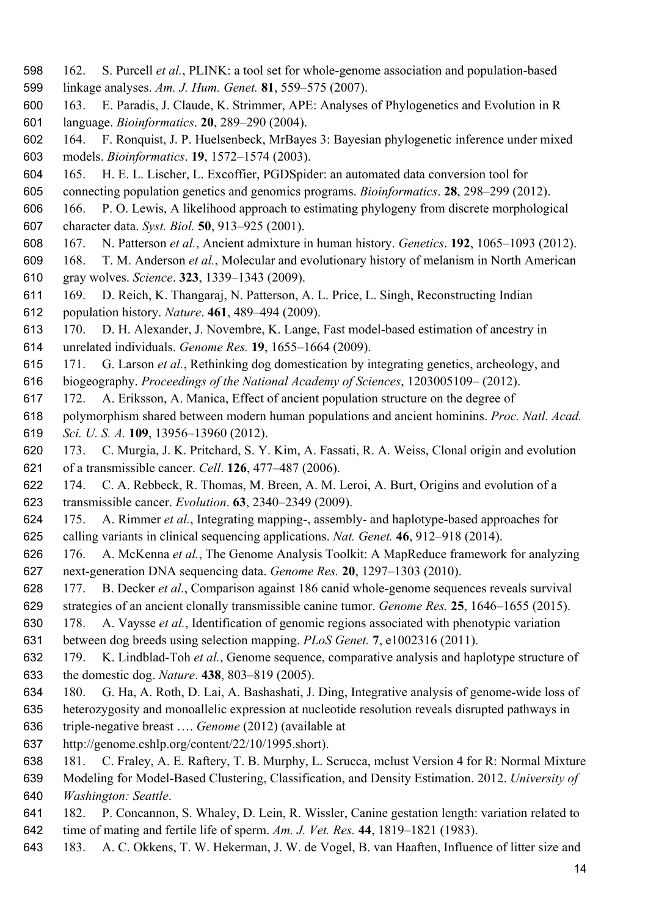- 162. S. Purcell *et al.*, PLINK: a tool set for whole-genome association and population-based
- linkage analyses. *Am. J. Hum. Genet.* **81**, 559–575 (2007).
- 163. E. Paradis, J. Claude, K. Strimmer, APE: Analyses of Phylogenetics and Evolution in R language. *Bioinformatics*. **20**, 289–290 (2004).
- 164. F. Ronquist, J. P. Huelsenbeck, MrBayes 3: Bayesian phylogenetic inference under mixed models. *Bioinformatics*. **19**, 1572–1574 (2003).
- 165. H. E. L. Lischer, L. Excoffier, PGDSpider: an automated data conversion tool for
- connecting population genetics and genomics programs. *Bioinformatics*. **28**, 298–299 (2012).
- 166. P. O. Lewis, A likelihood approach to estimating phylogeny from discrete morphological character data. *Syst. Biol.* **50**, 913–925 (2001).
- 167. N. Patterson *et al.*, Ancient admixture in human history. *Genetics*. **192**, 1065–1093 (2012).
- 168. T. M. Anderson *et al.*, Molecular and evolutionary history of melanism in North American gray wolves. *Science*. **323**, 1339–1343 (2009).
- 169. D. Reich, K. Thangaraj, N. Patterson, A. L. Price, L. Singh, Reconstructing Indian
- population history. *Nature*. **461**, 489–494 (2009).
- 170. D. H. Alexander, J. Novembre, K. Lange, Fast model-based estimation of ancestry in unrelated individuals. *Genome Res.* **19**, 1655–1664 (2009).
- 171. G. Larson *et al.*, Rethinking dog domestication by integrating genetics, archeology, and
- biogeography. *Proceedings of the National Academy of Sciences*, 1203005109– (2012).
- 172. A. Eriksson, A. Manica, Effect of ancient population structure on the degree of
- polymorphism shared between modern human populations and ancient hominins. *Proc. Natl. Acad. Sci. U. S. A.* **109**, 13956–13960 (2012).
- 173. C. Murgia, J. K. Pritchard, S. Y. Kim, A. Fassati, R. A. Weiss, Clonal origin and evolution of a transmissible cancer. *Cell*. **126**, 477–487 (2006).
- 174. C. A. Rebbeck, R. Thomas, M. Breen, A. M. Leroi, A. Burt, Origins and evolution of a transmissible cancer. *Evolution*. **63**, 2340–2349 (2009).
- 175. A. Rimmer *et al.*, Integrating mapping-, assembly- and haplotype-based approaches for calling variants in clinical sequencing applications. *Nat. Genet.* **46**, 912–918 (2014).
- 176. A. McKenna *et al.*, The Genome Analysis Toolkit: A MapReduce framework for analyzing next-generation DNA sequencing data. *Genome Res.* **20**, 1297–1303 (2010).
- 177. B. Decker *et al.*, Comparison against 186 canid whole-genome sequences reveals survival
- strategies of an ancient clonally transmissible canine tumor. *Genome Res.* **25**, 1646–1655 (2015).
- 178. A. Vaysse *et al.*, Identification of genomic regions associated with phenotypic variation
- between dog breeds using selection mapping. *PLoS Genet.* **7**, e1002316 (2011).
- 179. K. Lindblad-Toh *et al.*, Genome sequence, comparative analysis and haplotype structure of the domestic dog. *Nature*. **438**, 803–819 (2005).
- 180. G. Ha, A. Roth, D. Lai, A. Bashashati, J. Ding, Integrative analysis of genome-wide loss of
- heterozygosity and monoallelic expression at nucleotide resolution reveals disrupted pathways in
- triple-negative breast …. *Genome* (2012) (available at
- http://genome.cshlp.org/content/22/10/1995.short).
- 181. C. Fraley, A. E. Raftery, T. B. Murphy, L. Scrucca, mclust Version 4 for R: Normal Mixture
- Modeling for Model-Based Clustering, Classification, and Density Estimation. 2012. *University of Washington: Seattle*.
- 182. P. Concannon, S. Whaley, D. Lein, R. Wissler, Canine gestation length: variation related to time of mating and fertile life of sperm. *Am. J. Vet. Res.* **44**, 1819–1821 (1983).
- 183. A. C. Okkens, T. W. Hekerman, J. W. de Vogel, B. van Haaften, Influence of litter size and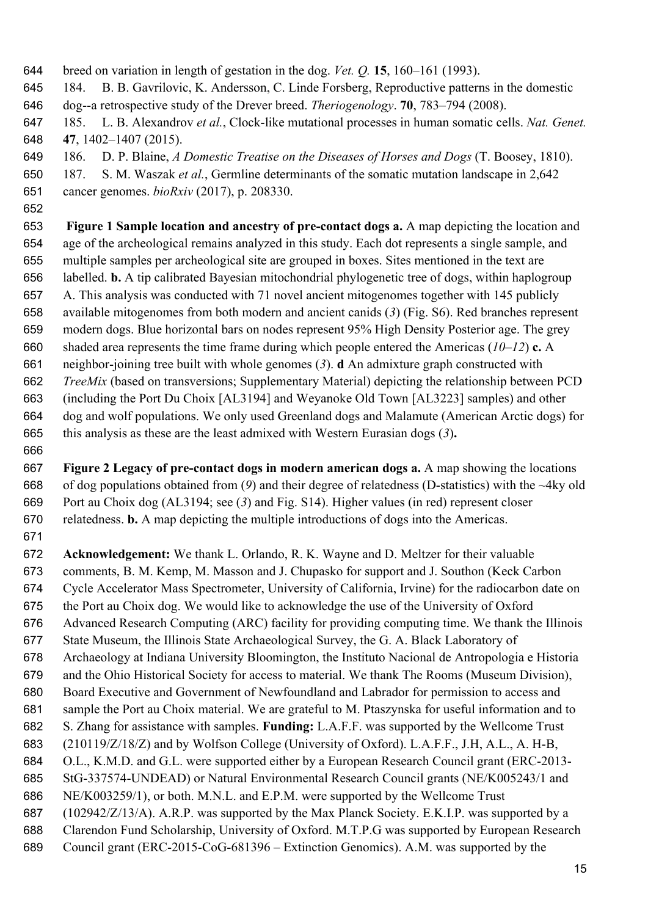breed on variation in length of gestation in the dog. *Vet. Q.* **15**, 160–161 (1993).

184. B. B. Gavrilovic, K. Andersson, C. Linde Forsberg, Reproductive patterns in the domestic

- dog--a retrospective study of the Drever breed. *Theriogenology*. **70**, 783–794 (2008).
- 185. L. B. Alexandrov *et al.*, Clock-like mutational processes in human somatic cells. *Nat. Genet.* **47**, 1402–1407 (2015).
- 186. D. P. Blaine, *A Domestic Treatise on the Diseases of Horses and Dogs* (T. Boosey, 1810).
- 187. S. M. Waszak *et al.*, Germline determinants of the somatic mutation landscape in 2,642

cancer genomes. *bioRxiv* (2017), p. 208330.

 **Figure 1 Sample location and ancestry of pre-contact dogs a.** A map depicting the location and age of the archeological remains analyzed in this study. Each dot represents a single sample, and multiple samples per archeological site are grouped in boxes. Sites mentioned in the text are labelled. **b.** A tip calibrated Bayesian mitochondrial phylogenetic tree of dogs, within haplogroup A. This analysis was conducted with 71 novel ancient mitogenomes together with 145 publicly available mitogenomes from both modern and ancient canids (*3*) (Fig. S6). Red branches represent modern dogs. Blue horizontal bars on nodes represent 95% High Density Posterior age. The grey shaded area represents the time frame during which people entered the Americas (*10*–*12*) **c.** A neighbor-joining tree built with whole genomes (*3*). **d** An admixture graph constructed with *TreeMix* (based on transversions; Supplementary Material) depicting the relationship between PCD (including the Port Du Choix [AL3194] and Weyanoke Old Town [AL3223] samples) and other dog and wolf populations. We only used Greenland dogs and Malamute (American Arctic dogs) for this analysis as these are the least admixed with Western Eurasian dogs (*3*)**.** 

 **Figure 2 Legacy of pre-contact dogs in modern american dogs a.** A map showing the locations of dog populations obtained from (*9*) and their degree of relatedness (D-statistics) with the ~4ky old Port au Choix dog (AL3194; see (*3*) and Fig. S14). Higher values (in red) represent closer relatedness. **b.** A map depicting the multiple introductions of dogs into the Americas.

 **Acknowledgement:** We thank L. Orlando, R. K. Wayne and D. Meltzer for their valuable comments, B. M. Kemp, M. Masson and J. Chupasko for support and J. Southon (Keck Carbon Cycle Accelerator Mass Spectrometer, University of California, Irvine) for the radiocarbon date on the Port au Choix dog. We would like to acknowledge the use of the University of Oxford Advanced Research Computing (ARC) facility for providing computing time. We thank the Illinois State Museum, the Illinois State Archaeological Survey, the G. A. Black Laboratory of Archaeology at Indiana University Bloomington, the Instituto Nacional de Antropologia e Historia and the Ohio Historical Society for access to material. We thank The Rooms (Museum Division), Board Executive and Government of Newfoundland and Labrador for permission to access and sample the Port au Choix material. We are grateful to M. Ptaszynska for useful information and to S. Zhang for assistance with samples. **Funding:** L.A.F.F. was supported by the Wellcome Trust (210119/Z/18/Z) and by Wolfson College (University of Oxford). L.A.F.F., J.H, A.L., A. H-B, O.L., K.M.D. and G.L. were supported either by a European Research Council grant (ERC-2013- StG-337574-UNDEAD) or Natural Environmental Research Council grants (NE/K005243/1 and NE/K003259/1), or both. M.N.L. and E.P.M. were supported by the Wellcome Trust (102942/Z/13/A). A.R.P. was supported by the Max Planck Society. E.K.I.P. was supported by a Clarendon Fund Scholarship, University of Oxford. M.T.P.G was supported by European Research Council grant (ERC-2015-CoG-681396 – Extinction Genomics). A.M. was supported by the